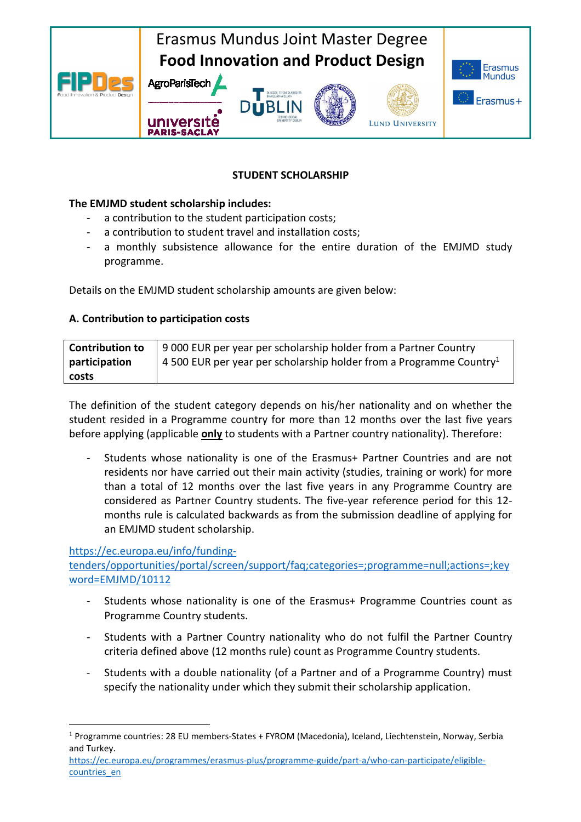

# **STUDENT SCHOLARSHIP**

# **The EMJMD student scholarship includes:**

- a contribution to the student participation costs;
- a contribution to student travel and installation costs;
- a monthly subsistence allowance for the entire duration of the EMJMD study programme.

Details on the EMJMD student scholarship amounts are given below:

# **A. Contribution to participation costs**

| <b>Contribution to</b> | 9 000 EUR per year per scholarship holder from a Partner Country                |
|------------------------|---------------------------------------------------------------------------------|
| participation          | 4 500 EUR per year per scholarship holder from a Programme Country <sup>1</sup> |
| costs                  |                                                                                 |

The definition of the student category depends on his/her nationality and on whether the student resided in a Programme country for more than 12 months over the last five years before applying (applicable **only** to students with a Partner country nationality). Therefore:

Students whose nationality is one of the Erasmus+ Partner Countries and are not residents nor have carried out their main activity (studies, training or work) for more than a total of 12 months over the last five years in any Programme Country are considered as Partner Country students. The five-year reference period for this 12 months rule is calculated backwards as from the submission deadline of applying for an EMJMD student scholarship.

#### https://ec.europa.eu/info/funding-

 $\overline{a}$ 

tenders/opportunities/portal/screen/support/faq;categories=;programme=null;actions=;key word=EMJMD/10112

- Students whose nationality is one of the Erasmus+ Programme Countries count as Programme Country students.
- Students with a Partner Country nationality who do not fulfil the Partner Country criteria defined above (12 months rule) count as Programme Country students.
- Students with a double nationality (of a Partner and of a Programme Country) must specify the nationality under which they submit their scholarship application.

<sup>&</sup>lt;sup>1</sup> Programme countries: 28 EU members-States + FYROM (Macedonia), Iceland, Liechtenstein, Norway, Serbia and Turkey.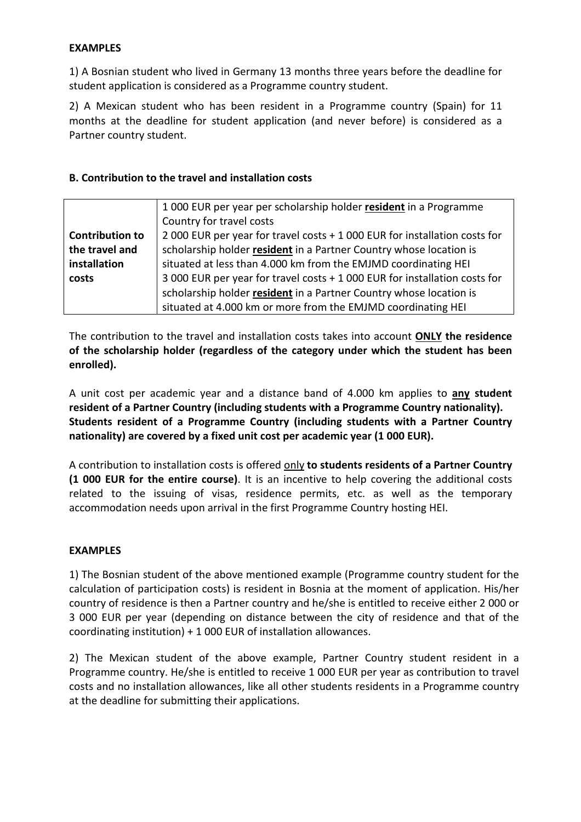### **EXAMPLES**

1) A Bosnian student who lived in Germany 13 months three years before the deadline for student application is considered as a Programme country student.

2) A Mexican student who has been resident in a Programme country (Spain) for 11 months at the deadline for student application (and never before) is considered as a Partner country student.

# **B. Contribution to the travel and installation costs**

|                        | 1000 EUR per year per scholarship holder resident in a Programme           |
|------------------------|----------------------------------------------------------------------------|
|                        | Country for travel costs                                                   |
| <b>Contribution to</b> | 2 000 EUR per year for travel costs + 1 000 EUR for installation costs for |
| the travel and         | scholarship holder resident in a Partner Country whose location is         |
| installation           | situated at less than 4.000 km from the EMJMD coordinating HEI             |
| costs                  | 3 000 EUR per year for travel costs + 1 000 EUR for installation costs for |
|                        | scholarship holder resident in a Partner Country whose location is         |
|                        | situated at 4.000 km or more from the EMJMD coordinating HEI               |

The contribution to the travel and installation costs takes into account **ONLY the residence of the scholarship holder (regardless of the category under which the student has been enrolled).**

A unit cost per academic year and a distance band of 4.000 km applies to **any student resident of a Partner Country (including students with a Programme Country nationality). Students resident of a Programme Country (including students with a Partner Country nationality) are covered by a fixed unit cost per academic year (1 000 EUR).** 

A contribution to installation costs is offered only **to students residents of a Partner Country (1 000 EUR for the entire course)**. It is an incentive to help covering the additional costs related to the issuing of visas, residence permits, etc. as well as the temporary accommodation needs upon arrival in the first Programme Country hosting HEI.

#### **EXAMPLES**

1) The Bosnian student of the above mentioned example (Programme country student for the calculation of participation costs) is resident in Bosnia at the moment of application. His/her country of residence is then a Partner country and he/she is entitled to receive either 2 000 or 3 000 EUR per year (depending on distance between the city of residence and that of the coordinating institution) + 1 000 EUR of installation allowances.

2) The Mexican student of the above example, Partner Country student resident in a Programme country. He/she is entitled to receive 1 000 EUR per year as contribution to travel costs and no installation allowances, like all other students residents in a Programme country at the deadline for submitting their applications.